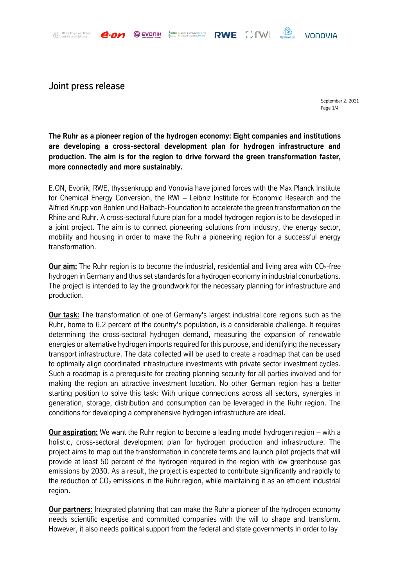Alfried Krupp von Bohlen<br>und Halbach-Stiftung

Joint press release

September 2, 2021 Page 1/4

VONOVIA

**COD** 

**The Ruhr as a pioneer region of the hydrogen economy: Eight companies and institutions are developing a cross-sectoral development plan for hydrogen infrastructure and production. The aim is for the region to drive forward the green transformation faster, more connectedly and more sustainably.**

**ARRIVAN MAX-PLANCK-INSTITUTEDE RWE COMBANDA** 

**EVONIK** 

E.ON, Evonik, RWE, thyssenkrupp and Vonovia have joined forces with the Max Planck Institute for Chemical Energy Conversion, the RWI – Leibniz Institute for Economic Research and the Alfried Krupp von Bohlen und Halbach-Foundation to accelerate the green transformation on the Rhine and Ruhr. A cross-sectoral future plan for a model hydrogen region is to be developed in a joint project. The aim is to connect pioneering solutions from industry, the energy sector, mobility and housing in order to make the Ruhr a pioneering region for a successful energy transformation.

**Our aim:** The Ruhr region is to become the industrial, residential and living area with CO<sub>2</sub>-free hydrogen in Germany and thus set standards for a hydrogen economy in industrial conurbations. The project is intended to lay the groundwork for the necessary planning for infrastructure and production.

**Our task:** The transformation of one of Germany's largest industrial core regions such as the Ruhr, home to 6.2 percent of the country's population, is a considerable challenge. It requires determining the cross-sectoral hydrogen demand, measuring the expansion of renewable energies or alternative hydrogen imports required for this purpose, and identifying the necessary transport infrastructure. The data collected will be used to create a roadmap that can be used to optimally align coordinated infrastructure investments with private sector investment cycles. Such a roadmap is a prerequisite for creating planning security for all parties involved and for making the region an attractive investment location. No other German region has a better starting position to solve this task: With unique connections across all sectors, synergies in generation, storage, distribution and consumption can be leveraged in the Ruhr region. The conditions for developing a comprehensive hydrogen infrastructure are ideal.

**Our aspiration:** We want the Ruhr region to become a leading model hydrogen region – with a holistic, cross-sectoral development plan for hydrogen production and infrastructure. The project aims to map out the transformation in concrete terms and launch pilot projects that will provide at least 50 percent of the hydrogen required in the region with low greenhouse gas emissions by 2030. As a result, the project is expected to contribute significantly and rapidly to the reduction of  $CO<sub>2</sub>$  emissions in the Ruhr region, while maintaining it as an efficient industrial region.

**Our partners:** Integrated planning that can make the Ruhr a pioneer of the hydrogen economy needs scientific expertise and committed companies with the will to shape and transform. However, it also needs political support from the federal and state governments in order to lay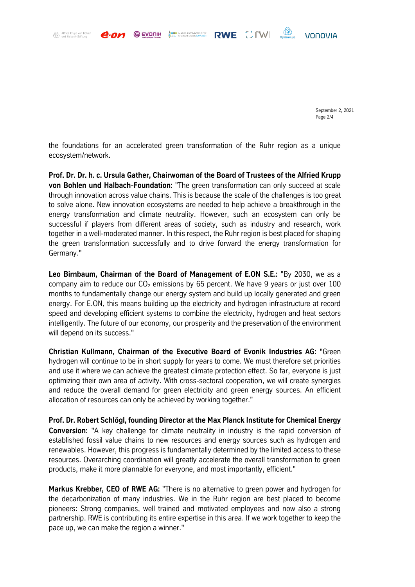Alfried Krupp von Bohlen<br>und Halbach-Stiftung

September 2, 2021 Page 2/4

**VONOVIA** 

**COD** 

the foundations for an accelerated green transformation of the Ruhr region as a unique ecosystem/network.

**EVONIK** 

ARREST MAX-PLANCK-INSTITUTEDR<br>CCC CHEMISCHE DERGEGNWEISCH RWE [] [W]

**Prof. Dr. Dr. h. c. Ursula Gather, Chairwoman of the Board of Trustees of the Alfried Krupp von Bohlen und Halbach-Foundation:** "The green transformation can only succeed at scale through innovation across value chains. This is because the scale of the challenges is too great to solve alone. New innovation ecosystems are needed to help achieve a breakthrough in the energy transformation and climate neutrality. However, such an ecosystem can only be successful if players from different areas of society, such as industry and research, work together in a well-moderated manner. In this respect, the Ruhr region is best placed for shaping the green transformation successfully and to drive forward the energy transformation for Germany."

**Leo Birnbaum, Chairman of the Board of Management of E.ON S.E.:** "By 2030, we as a company aim to reduce our  $CO<sub>2</sub>$  emissions by 65 percent. We have 9 years or just over 100 months to fundamentally change our energy system and build up locally generated and green energy. For E.ON, this means building up the electricity and hydrogen infrastructure at record speed and developing efficient systems to combine the electricity, hydrogen and heat sectors intelligently. The future of our economy, our prosperity and the preservation of the environment will depend on its success."

**Christian Kullmann, Chairman of the Executive Board of Evonik Industries AG:** "Green hydrogen will continue to be in short supply for years to come. We must therefore set priorities and use it where we can achieve the greatest climate protection effect. So far, everyone is just optimizing their own area of activity. With cross-sectoral cooperation, we will create synergies and reduce the overall demand for green electricity and green energy sources. An efficient allocation of resources can only be achieved by working together."

**Prof. Dr. Robert Schlögl, founding Director at the Max Planck Institute for Chemical Energy Conversion:** "A key challenge for climate neutrality in industry is the rapid conversion of established fossil value chains to new resources and energy sources such as hydrogen and renewables. However, this progress is fundamentally determined by the limited access to these resources. Overarching coordination will greatly accelerate the overall transformation to green products, make it more plannable for everyone, and most importantly, efficient."

**Markus Krebber, CEO of RWE AG:** "There is no alternative to green power and hydrogen for the decarbonization of many industries. We in the Ruhr region are best placed to become pioneers: Strong companies, well trained and motivated employees and now also a strong partnership. RWE is contributing its entire expertise in this area. If we work together to keep the pace up, we can make the region a winner."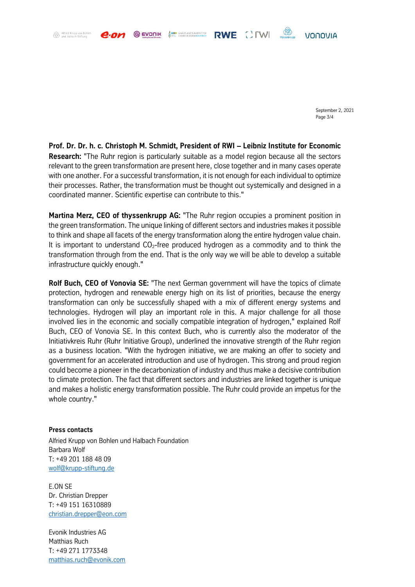**ARRIE MAX-PLANCK-INSTITUT FÜR**<br>CCC CHEMISCHE ENERGIEKONVERSION **EVONIK** 

RWE CIWI

VONOVIA

**OB** 

September 2, 2021 Page 3/4

**Prof. Dr. Dr. h. c. Christoph M. Schmidt, President of RWI – Leibniz Institute for Economic Research:** "The Ruhr region is particularly suitable as a model region because all the sectors relevant to the green transformation are present here, close together and in many cases operate with one another. For a successful transformation, it is not enough for each individual to optimize their processes. Rather, the transformation must be thought out systemically and designed in a coordinated manner. Scientific expertise can contribute to this."

**Martina Merz, CEO of thyssenkrupp AG:** "The Ruhr region occupies a prominent position in the green transformation. The unique linking of different sectors and industries makes it possible to think and shape all facets of the energy transformation along the entire hydrogen value chain. It is important to understand  $CO<sub>2</sub>$ -free produced hydrogen as a commodity and to think the transformation through from the end. That is the only way we will be able to develop a suitable infrastructure quickly enough."

**Rolf Buch, CEO of Vonovia SE:** "The next German government will have the topics of climate protection, hydrogen and renewable energy high on its list of priorities, because the energy transformation can only be successfully shaped with a mix of different energy systems and technologies. Hydrogen will play an important role in this. A major challenge for all those involved lies in the economic and socially compatible integration of hydrogen," explained Rolf Buch, CEO of Vonovia SE. In this context Buch, who is currently also the moderator of the Initiativkreis Ruhr (Ruhr Initiative Group), underlined the innovative strength of the Ruhr region as a business location. "With the hydrogen initiative, we are making an offer to society and government for an accelerated introduction and use of hydrogen. This strong and proud region could become a pioneer in the decarbonization of industry and thus make a decisive contribution to climate protection. The fact that different sectors and industries are linked together is unique and makes a holistic energy transformation possible. The Ruhr could provide an impetus for the whole country."

## **Press contacts**

Alfried Krupp von Bohlen<br>und Halbach-Stiftung

Alfried Krupp von Bohlen und Halbach Foundation Barbara Wolf T: +49 201 188 48 09 [wolf@krupp-stiftung.de](mailto:wolf@krupp-stiftung.de)

E.ON SE Dr. Christian Drepper T: +49 151 16310889 [christian.drepper@eon.com](mailto:christian.drepper@eon.com)

Evonik Industries AG Matthias Ruch T: +49 271 1773348 [matthias.ruch@evonik.com](mailto:matthias.ruch@evonik.com)